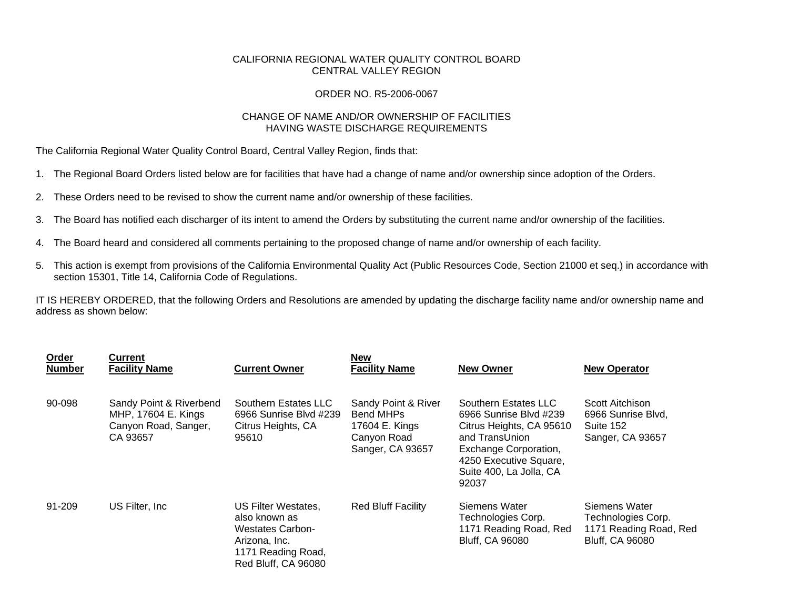## CALIFORNIA REGIONAL WATER QUALITY CONTROL BOARD CENTRAL VALLEY REGION

## ORDER NO. R5-2006-0067

## CHANGE OF NAME AND/OR OWNERSHIP OF FACILITIES HAVING WASTE DISCHARGE REQUIREMENTS

The California Regional Water Quality Control Board, Central Valley Region, finds that:

- 1. The Regional Board Orders listed below are for facilities that have had a change of name and/or ownership since adoption of the Orders.
- 2. These Orders need to be revised to show the current name and/or ownership of these facilities.
- 3. The Board has notified each discharger of its intent to amend the Orders by substituting the current name and/or ownership of the facilities.
- 4. The Board heard and considered all comments pertaining to the proposed change of name and/or ownership of each facility.
- 5. This action is exempt from provisions of the California Environmental Quality Act (Public Resources Code, Section 21000 et seq.) in accordance with section 15301, Title 14, California Code of Regulations.

IT IS HEREBY ORDERED, that the following Orders and Resolutions are amended by updating the discharge facility name and/or ownership name and address as shown below:

| <b>Order</b><br><b>Number</b> | Current<br><b>Facility Name</b>                                                    | <b>Current Owner</b>                                                                                                          | <b>New</b><br><b>Facility Name</b>                                                    | <b>New Owner</b>                                                                                                                                                                    | <b>New Operator</b>                                                                     |
|-------------------------------|------------------------------------------------------------------------------------|-------------------------------------------------------------------------------------------------------------------------------|---------------------------------------------------------------------------------------|-------------------------------------------------------------------------------------------------------------------------------------------------------------------------------------|-----------------------------------------------------------------------------------------|
| 90-098                        | Sandy Point & Riverbend<br>MHP, 17604 E. Kings<br>Canyon Road, Sanger,<br>CA 93657 | Southern Estates LLC<br>6966 Sunrise Blvd #239<br>Citrus Heights, CA<br>95610                                                 | Sandy Point & River<br>Bend MHPs<br>17604 E. Kings<br>Canyon Road<br>Sanger, CA 93657 | Southern Estates LLC<br>6966 Sunrise Blvd #239<br>Citrus Heights, CA 95610<br>and TransUnion<br>Exchange Corporation,<br>4250 Executive Square,<br>Suite 400, La Jolla, CA<br>92037 | Scott Aitchison<br>6966 Sunrise Blvd,<br>Suite 152<br>Sanger, CA 93657                  |
| 91-209                        | US Filter, Inc.                                                                    | US Filter Westates,<br>also known as<br><b>Westates Carbon-</b><br>Arizona, Inc.<br>1171 Reading Road,<br>Red Bluff, CA 96080 | <b>Red Bluff Facility</b>                                                             | Siemens Water<br>Technologies Corp.<br>1171 Reading Road, Red<br><b>Bluff, CA 96080</b>                                                                                             | Siemens Water<br>Technologies Corp.<br>1171 Reading Road, Red<br><b>Bluff, CA 96080</b> |